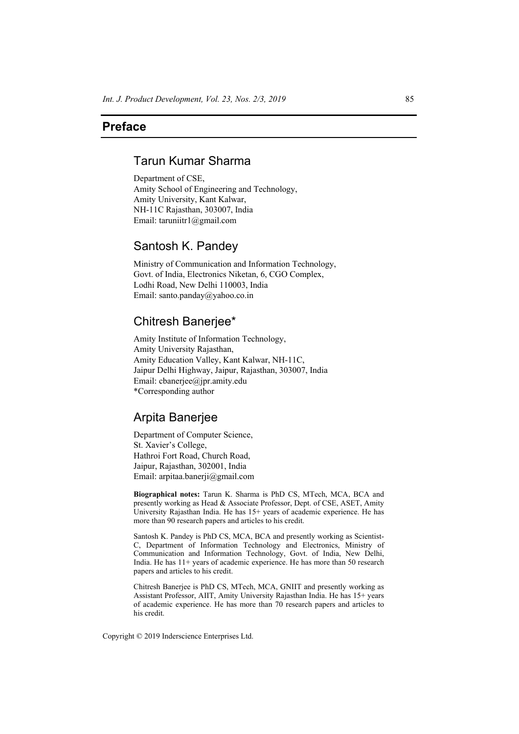## **Preface**

## Tarun Kumar Sharma

Department of CSE, Amity School of Engineering and Technology, Amity University, Kant Kalwar, NH-11C Rajasthan, 303007, India Email: taruniitr1@gmail.com

# Santosh K. Pandey

Ministry of Communication and Information Technology, Govt. of India, Electronics Niketan, 6, CGO Complex, Lodhi Road, New Delhi 110003, India Email: santo.panday@yahoo.co.in

# Chitresh Banerjee\*

Amity Institute of Information Technology, Amity University Rajasthan, Amity Education Valley, Kant Kalwar, NH-11C, Jaipur Delhi Highway, Jaipur, Rajasthan, 303007, India Email: cbanerjee@jpr.amity.edu \*Corresponding author

## Arpita Banerjee

Department of Computer Science, St. Xavier's College, Hathroi Fort Road, Church Road, Jaipur, Rajasthan, 302001, India Email: arpitaa.banerji@gmail.com

**Biographical notes:** Tarun K. Sharma is PhD CS, MTech, MCA, BCA and presently working as Head & Associate Professor, Dept. of CSE, ASET, Amity University Rajasthan India. He has 15+ years of academic experience. He has more than 90 research papers and articles to his credit.

Santosh K. Pandey is PhD CS, MCA, BCA and presently working as Scientist-C, Department of Information Technology and Electronics, Ministry of Communication and Information Technology, Govt. of India, New Delhi, India. He has 11+ years of academic experience. He has more than 50 research papers and articles to his credit.

Chitresh Banerjee is PhD CS, MTech, MCA, GNIIT and presently working as Assistant Professor, AIIT, Amity University Rajasthan India. He has 15+ years of academic experience. He has more than 70 research papers and articles to his credit.

Copyright © 2019 Inderscience Enterprises Ltd.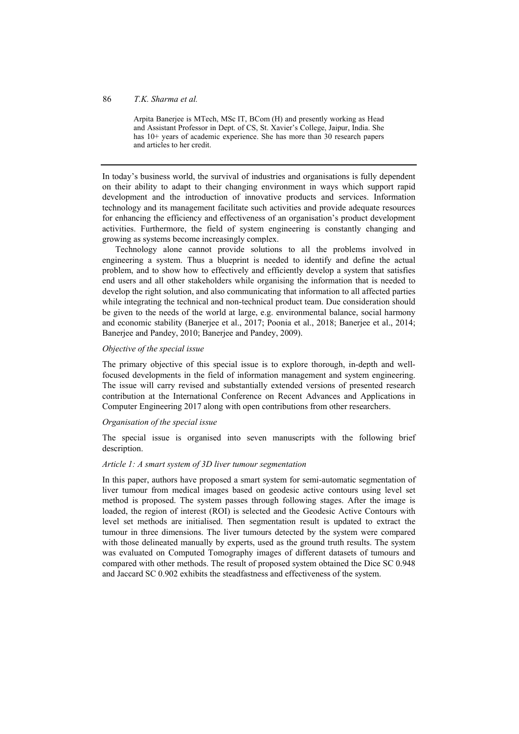### 86 *T.K. Sharma et al.*

Arpita Banerjee is MTech, MSc IT, BCom (H) and presently working as Head and Assistant Professor in Dept. of CS, St. Xavier's College, Jaipur, India. She has 10+ years of academic experience. She has more than 30 research papers and articles to her credit.

In today's business world, the survival of industries and organisations is fully dependent on their ability to adapt to their changing environment in ways which support rapid development and the introduction of innovative products and services. Information technology and its management facilitate such activities and provide adequate resources for enhancing the efficiency and effectiveness of an organisation's product development activities. Furthermore, the field of system engineering is constantly changing and growing as systems become increasingly complex.

Technology alone cannot provide solutions to all the problems involved in engineering a system. Thus a blueprint is needed to identify and define the actual problem, and to show how to effectively and efficiently develop a system that satisfies end users and all other stakeholders while organising the information that is needed to develop the right solution, and also communicating that information to all affected parties while integrating the technical and non-technical product team. Due consideration should be given to the needs of the world at large, e.g. environmental balance, social harmony and economic stability (Banerjee et al., 2017; Poonia et al., 2018; Banerjee et al., 2014; Banerjee and Pandey, 2010; Banerjee and Pandey, 2009).

#### *Objective of the special issue*

The primary objective of this special issue is to explore thorough, in-depth and wellfocused developments in the field of information management and system engineering. The issue will carry revised and substantially extended versions of presented research contribution at the International Conference on Recent Advances and Applications in Computer Engineering 2017 along with open contributions from other researchers.

#### *Organisation of the special issue*

The special issue is organised into seven manuscripts with the following brief description.

#### *Article 1: A smart system of 3D liver tumour segmentation*

In this paper, authors have proposed a smart system for semi-automatic segmentation of liver tumour from medical images based on geodesic active contours using level set method is proposed. The system passes through following stages. After the image is loaded, the region of interest (ROI) is selected and the Geodesic Active Contours with level set methods are initialised. Then segmentation result is updated to extract the tumour in three dimensions. The liver tumours detected by the system were compared with those delineated manually by experts, used as the ground truth results. The system was evaluated on Computed Tomography images of different datasets of tumours and compared with other methods. The result of proposed system obtained the Dice SC 0.948 and Jaccard SC 0.902 exhibits the steadfastness and effectiveness of the system.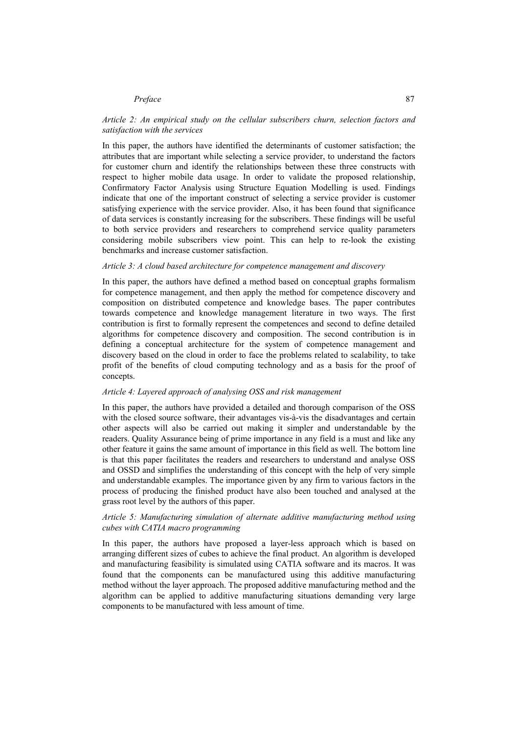#### *Preface* 87

#### *Article 2: An empirical study on the cellular subscribers churn, selection factors and satisfaction with the services*

In this paper, the authors have identified the determinants of customer satisfaction; the attributes that are important while selecting a service provider, to understand the factors for customer churn and identify the relationships between these three constructs with respect to higher mobile data usage. In order to validate the proposed relationship, Confirmatory Factor Analysis using Structure Equation Modelling is used. Findings indicate that one of the important construct of selecting a service provider is customer satisfying experience with the service provider. Also, it has been found that significance of data services is constantly increasing for the subscribers. These findings will be useful to both service providers and researchers to comprehend service quality parameters considering mobile subscribers view point. This can help to re-look the existing benchmarks and increase customer satisfaction.

#### *Article 3: A cloud based architecture for competence management and discovery*

In this paper, the authors have defined a method based on conceptual graphs formalism for competence management, and then apply the method for competence discovery and composition on distributed competence and knowledge bases. The paper contributes towards competence and knowledge management literature in two ways. The first contribution is first to formally represent the competences and second to define detailed algorithms for competence discovery and composition. The second contribution is in defining a conceptual architecture for the system of competence management and discovery based on the cloud in order to face the problems related to scalability, to take profit of the benefits of cloud computing technology and as a basis for the proof of concepts.

#### *Article 4: Layered approach of analysing OSS and risk management*

In this paper, the authors have provided a detailed and thorough comparison of the OSS with the closed source software, their advantages vis-à-vis the disadvantages and certain other aspects will also be carried out making it simpler and understandable by the readers. Quality Assurance being of prime importance in any field is a must and like any other feature it gains the same amount of importance in this field as well. The bottom line is that this paper facilitates the readers and researchers to understand and analyse OSS and OSSD and simplifies the understanding of this concept with the help of very simple and understandable examples. The importance given by any firm to various factors in the process of producing the finished product have also been touched and analysed at the grass root level by the authors of this paper.

#### *Article 5: Manufacturing simulation of alternate additive manufacturing method using cubes with CATIA macro programming*

In this paper, the authors have proposed a layer-less approach which is based on arranging different sizes of cubes to achieve the final product. An algorithm is developed and manufacturing feasibility is simulated using CATIA software and its macros. It was found that the components can be manufactured using this additive manufacturing method without the layer approach. The proposed additive manufacturing method and the algorithm can be applied to additive manufacturing situations demanding very large components to be manufactured with less amount of time.